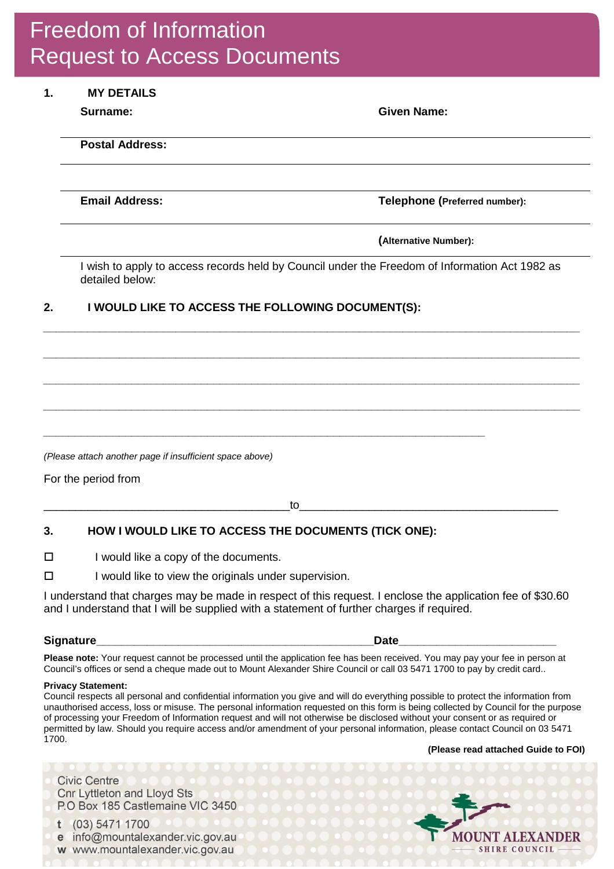# Freedom of Information Request to Access Documents

### **1. MY DETAILS**

**Surname: Given Name:** 

**Postal Address:** 

**Email Address: Telephone (Preferred number):** 

**(Alternative Number):**

I wish to apply to access records held by Council under the Freedom of Information Act 1982 as detailed below:

*\_\_\_\_\_\_\_\_\_\_\_\_\_\_\_\_\_\_\_\_\_\_\_\_\_\_\_\_\_\_\_\_\_\_\_\_\_\_\_\_\_\_\_\_\_\_\_\_\_\_\_\_\_\_\_\_\_\_\_\_\_\_\_\_\_\_\_\_\_\_\_\_\_\_\_\_\_\_\_\_\_\_\_\_\_*

*\_\_\_\_\_\_\_\_\_\_\_\_\_\_\_\_\_\_\_\_\_\_\_\_\_\_\_\_\_\_\_\_\_\_\_\_\_\_\_\_\_\_\_\_\_\_\_\_\_\_\_\_\_\_\_\_\_\_\_\_\_\_\_\_\_\_\_\_\_\_\_\_\_\_\_\_\_\_\_\_\_\_\_\_\_*

*\_\_\_\_\_\_\_\_\_\_\_\_\_\_\_\_\_\_\_\_\_\_\_\_\_\_\_\_\_\_\_\_\_\_\_\_\_\_\_\_\_\_\_\_\_\_\_\_\_\_\_\_\_\_\_\_\_\_\_\_\_\_\_\_\_\_\_\_\_\_\_\_\_\_\_\_\_\_\_\_\_\_\_\_\_*

*\_\_\_\_\_\_\_\_\_\_\_\_\_\_\_\_\_\_\_\_\_\_\_\_\_\_\_\_\_\_\_\_\_\_\_\_\_\_\_\_\_\_\_\_\_\_\_\_\_\_\_\_\_\_\_\_\_\_\_\_\_\_\_\_\_\_\_\_\_\_\_\_\_\_\_\_\_\_\_\_\_\_\_\_\_*

## **2. I WOULD LIKE TO ACCESS THE FOLLOWING DOCUMENT(S):**

*(Please attach another page if insufficient space above)*

For the period from

\_\_\_\_\_\_\_\_\_\_\_\_\_\_\_\_\_\_\_\_\_\_\_\_\_\_\_\_\_\_\_\_\_\_\_\_\_\_\_to\_\_\_\_\_\_\_\_\_\_\_\_\_\_\_\_\_\_\_\_\_\_\_\_\_\_\_\_\_\_\_\_\_\_\_\_\_\_\_\_\_

*\_\_\_\_\_\_\_\_\_\_\_\_\_\_\_\_\_\_\_\_\_\_\_\_\_\_\_\_\_\_\_\_\_\_\_\_\_\_\_\_\_\_\_\_\_\_\_\_\_\_\_\_\_\_\_\_\_\_\_\_\_\_\_\_\_\_\_\_\_\_*

## **3. HOW I WOULD LIKE TO ACCESS THE DOCUMENTS (TICK ONE):**

 $\Box$  I would like a copy of the documents.

 $\square$  I would like to view the originals under supervision.

I understand that charges may be made in respect of this request. I enclose the application fee of \$30.60 and I understand that I will be supplied with a statement of further charges if required.

#### **Signature\_\_\_\_\_\_\_\_\_\_\_\_\_\_\_\_\_\_\_\_\_\_\_\_\_\_\_\_\_\_\_\_\_\_\_\_\_\_\_\_\_\_\_\_Date\_\_\_\_\_\_\_\_\_\_\_\_\_\_\_\_\_\_\_\_\_\_\_\_\_**

**Please note:** Your request cannot be processed until the application fee has been received. You may pay your fee in person at Council's offices or send a cheque made out to Mount Alexander Shire Council or call 03 5471 1700 to pay by credit card..

#### **Privacy Statement:**

Council respects all personal and confidential information you give and will do everything possible to protect the information from unauthorised access, loss or misuse. The personal information requested on this form is being collected by Council for the purpose of processing your Freedom of Information request and will not otherwise be disclosed without your consent or as required or permitted by law. Should you require access and/or amendment of your personal information, please contact Council on 03 5471 1700.

**(Please read attached Guide to FOI)**

**Civic Centre Cnr Lyttleton and Lloyd Sts** P.O Box 185 Castlemaine VIC 3450

t (03) 5471 1700 e info@mountalexander.vic.gov.au w www.mountalexander.vic.gov.au

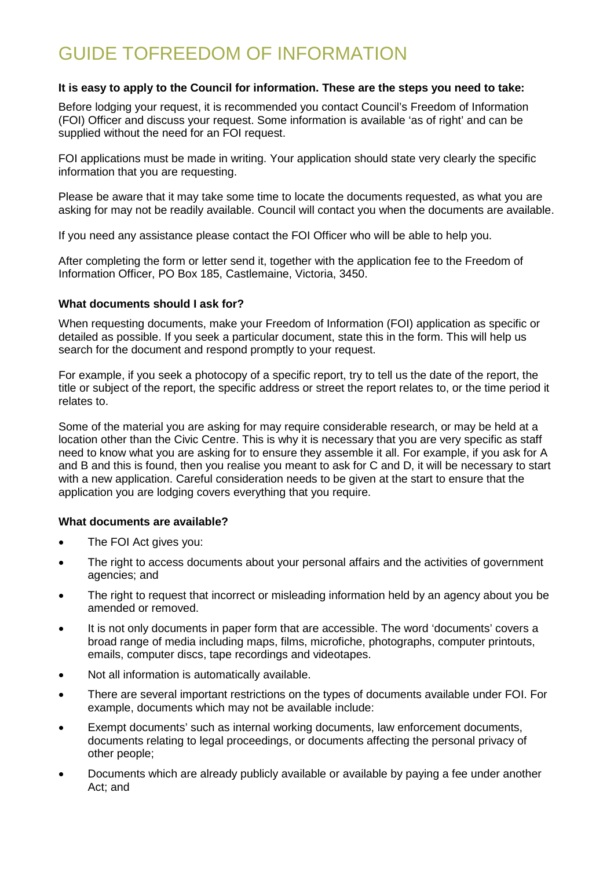## GUIDE TOFREEDOM OF INFORMATION

#### **It is easy to apply to the Council for information. These are the steps you need to take:**

Before lodging your request, it is recommended you contact Council's Freedom of Information (FOI) Officer and discuss your request. Some information is available 'as of right' and can be supplied without the need for an FOI request.

FOI applications must be made in writing. Your application should state very clearly the specific information that you are requesting.

Please be aware that it may take some time to locate the documents requested, as what you are asking for may not be readily available. Council will contact you when the documents are available.

If you need any assistance please contact the FOI Officer who will be able to help you.

After completing the form or letter send it, together with the application fee to the Freedom of Information Officer, PO Box 185, Castlemaine, Victoria, 3450.

#### **What documents should I ask for?**

When requesting documents, make your Freedom of Information (FOI) application as specific or detailed as possible. If you seek a particular document, state this in the form. This will help us search for the document and respond promptly to your request.

For example, if you seek a photocopy of a specific report, try to tell us the date of the report, the title or subject of the report, the specific address or street the report relates to, or the time period it relates to.

Some of the material you are asking for may require considerable research, or may be held at a location other than the Civic Centre. This is why it is necessary that you are very specific as staff need to know what you are asking for to ensure they assemble it all. For example, if you ask for A and B and this is found, then you realise you meant to ask for C and D, it will be necessary to start with a new application. Careful consideration needs to be given at the start to ensure that the application you are lodging covers everything that you require.

#### **What documents are available?**

- The FOI Act gives you:
- The right to access documents about your personal affairs and the activities of government agencies; and
- The right to request that incorrect or misleading information held by an agency about you be amended or removed.
- It is not only documents in paper form that are accessible. The word 'documents' covers a broad range of media including maps, films, microfiche, photographs, computer printouts, emails, computer discs, tape recordings and videotapes.
- Not all information is automatically available.
- There are several important restrictions on the types of documents available under FOI. For example, documents which may not be available include:
- Exempt documents' such as internal working documents, law enforcement documents, documents relating to legal proceedings, or documents affecting the personal privacy of other people;
- Documents which are already publicly available or available by paying a fee under another Act; and